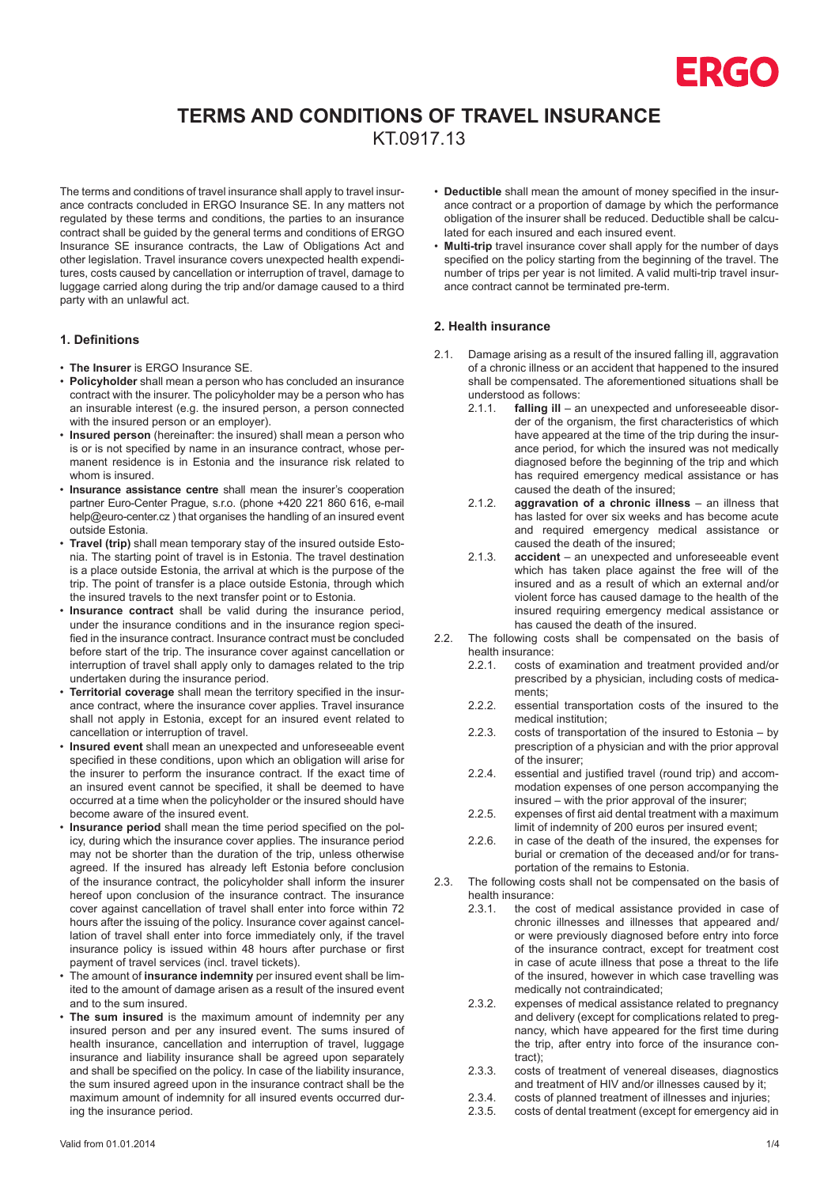

# **TERMS AND CONDITIONS OF TRAVEL INSURANCE**

KT.0917.13

The terms and conditions of travel insurance shall apply to travel insurance contracts concluded in ERGO Insurance SE. In any matters not regulated by these terms and conditions, the parties to an insurance contract shall be guided by the general terms and conditions of ERGO Insurance SE insurance contracts, the Law of Obligations Act and other legislation. Travel insurance covers unexpected health expenditures, costs caused by cancellation or interruption of travel, damage to luggage carried along during the trip and/or damage caused to a third party with an unlawful act.

### **1. Definitions**

- **The Insurer** is ERGO Insurance SE.
- **Policyholder** shall mean a person who has concluded an insurance contract with the insurer. The policyholder may be a person who has an insurable interest (e.g. the insured person, a person connected with the insured person or an employer).
- **Insured person** (hereinafter: the insured) shall mean a person who is or is not specified by name in an insurance contract, whose permanent residence is in Estonia and the insurance risk related to whom is insured.
- **Insurance assistance centre** shall mean the insurer's cooperation partner Euro-Center Prague, s.r.o. (phone +420 221 860 616, e-mail help@euro-center.cz ) that organises the handling of an insured event outside Estonia.
- **Travel (trip)** shall mean temporary stay of the insured outside Estonia. The starting point of travel is in Estonia. The travel destination is a place outside Estonia, the arrival at which is the purpose of the trip. The point of transfer is a place outside Estonia, through which the insured travels to the next transfer point or to Estonia.
- **Insurance contract** shall be valid during the insurance period, under the insurance conditions and in the insurance region specified in the insurance contract. Insurance contract must be concluded before start of the trip. The insurance cover against cancellation or interruption of travel shall apply only to damages related to the trip undertaken during the insurance period.
- **Territorial coverage** shall mean the territory specified in the insurance contract, where the insurance cover applies. Travel insurance shall not apply in Estonia, except for an insured event related to cancellation or interruption of travel.
- **Insured event** shall mean an unexpected and unforeseeable event specified in these conditions, upon which an obligation will arise for the insurer to perform the insurance contract. If the exact time of an insured event cannot be specified, it shall be deemed to have occurred at a time when the policyholder or the insured should have become aware of the insured event.
- **Insurance period** shall mean the time period specified on the policy, during which the insurance cover applies. The insurance period may not be shorter than the duration of the trip, unless otherwise agreed. If the insured has already left Estonia before conclusion of the insurance contract, the policyholder shall inform the insurer hereof upon conclusion of the insurance contract. The insurance cover against cancellation of travel shall enter into force within 72 hours after the issuing of the policy. Insurance cover against cancellation of travel shall enter into force immediately only, if the travel insurance policy is issued within 48 hours after purchase or first payment of travel services (incl. travel tickets).
- The amount of **insurance indemnity** per insured event shall be limited to the amount of damage arisen as a result of the insured event and to the sum insured.
- **The sum insured** is the maximum amount of indemnity per any insured person and per any insured event. The sums insured of health insurance, cancellation and interruption of travel, luggage insurance and liability insurance shall be agreed upon separately and shall be specified on the policy. In case of the liability insurance, the sum insured agreed upon in the insurance contract shall be the maximum amount of indemnity for all insured events occurred during the insurance period.
- **Deductible** shall mean the amount of money specified in the insurance contract or a proportion of damage by which the performance obligation of the insurer shall be reduced. Deductible shall be calculated for each insured and each insured event.
- **Multi-trip** travel insurance cover shall apply for the number of days specified on the policy starting from the beginning of the travel. The number of trips per year is not limited. A valid multi-trip travel insurance contract cannot be terminated pre-term.

## **2. Health insurance**

- 2.1. Damage arising as a result of the insured falling ill, aggravation of a chronic illness or an accident that happened to the insured shall be compensated. The aforementioned situations shall be understood as follows:<br> $2.1.1$  falling ill – a
	- falling ill an unexpected and unforeseeable disorder of the organism, the first characteristics of which have appeared at the time of the trip during the insurance period, for which the insured was not medically diagnosed before the beginning of the trip and which has required emergency medical assistance or has caused the death of the insured;
	- 2.1.2. **aggravation of a chronic illness** an illness that has lasted for over six weeks and has become acute and required emergency medical assistance or caused the death of the insured;
	- 2.1.3. **accident** an unexpected and unforeseeable event which has taken place against the free will of the insured and as a result of which an external and/or violent force has caused damage to the health of the insured requiring emergency medical assistance or has caused the death of the insured.
- 2.2. The following costs shall be compensated on the basis of health insurance:
	- 2.2.1. costs of examination and treatment provided and/or prescribed by a physician, including costs of medicaments;
	- 2.2.2. essential transportation costs of the insured to the medical institution;
	- 2.2.3. costs of transportation of the insured to Estonia by prescription of a physician and with the prior approval of the insurer;
	- 2.2.4. essential and justified travel (round trip) and accommodation expenses of one person accompanying the insured – with the prior approval of the insurer;
	- 2.2.5. expenses of first aid dental treatment with a maximum limit of indemnity of 200 euros per insured event;
	- 2.2.6. in case of the death of the insured, the expenses for burial or cremation of the deceased and/or for transportation of the remains to Estonia.
- 2.3. The following costs shall not be compensated on the basis of health insurance:<br>2.3.1 the cost
	- the cost of medical assistance provided in case of chronic illnesses and illnesses that appeared and/ or were previously diagnosed before entry into force of the insurance contract, except for treatment cost in case of acute illness that pose a threat to the life of the insured, however in which case travelling was medically not contraindicated;
	- 2.3.2. expenses of medical assistance related to pregnancy and delivery (except for complications related to pregnancy, which have appeared for the first time during the trip, after entry into force of the insurance contract);
	- 2.3.3. costs of treatment of venereal diseases, diagnostics and treatment of HIV and/or illnesses caused by it;
	- 2.3.4. costs of planned treatment of illnesses and injuries;<br>2.3.5. costs of dental treatment (except for emergency aid
	- costs of dental treatment (except for emergency aid in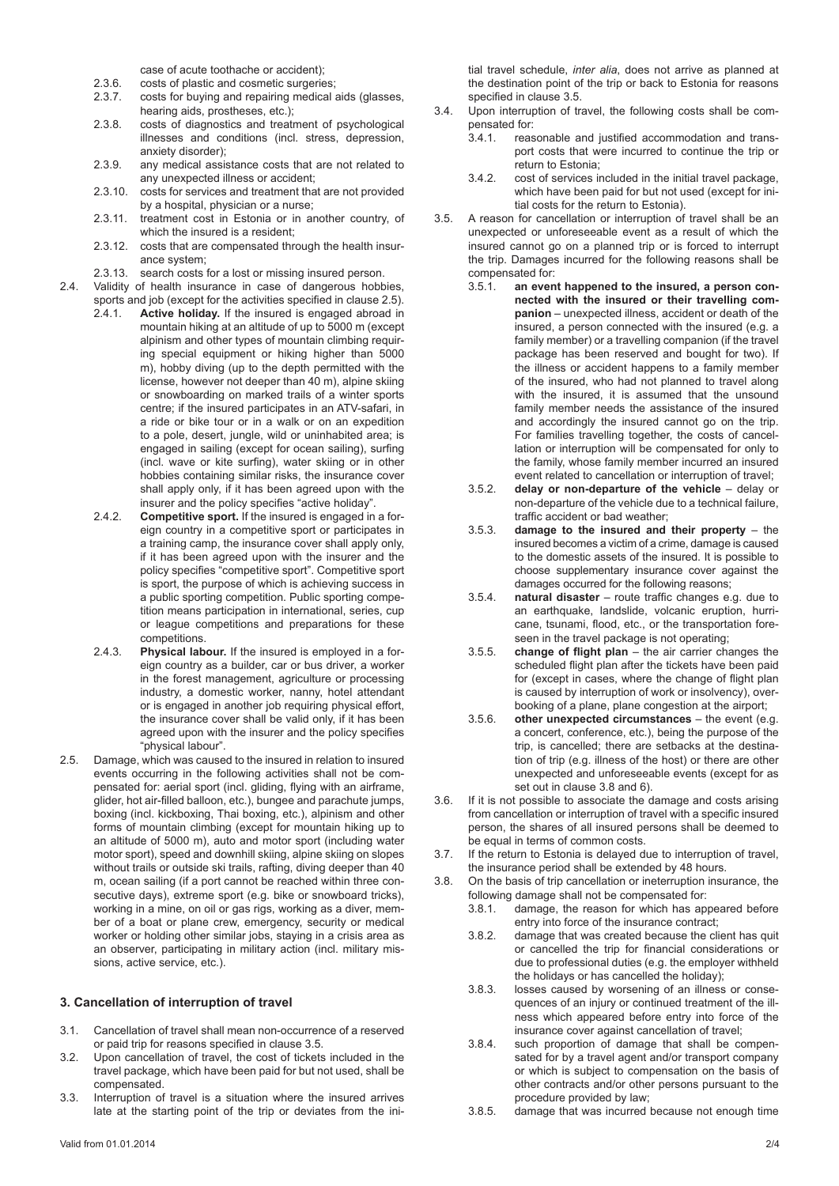case of acute toothache or accident);

- 2.3.6. costs of plastic and cosmetic surgeries;
- 2.3.7. costs for buying and repairing medical aids (glasses, hearing aids, prostheses, etc.);
- 2.3.8. costs of diagnostics and treatment of psychological illnesses and conditions (incl. stress, depression, anxiety disorder);
- 2.3.9. any medical assistance costs that are not related to any unexpected illness or accident;
- 2.3.10. costs for services and treatment that are not provided by a hospital, physician or a nurse;
- 2.3.11. treatment cost in Estonia or in another country, of which the insured is a resident;
- 2.3.12. costs that are compensated through the health insurance system;
- 2.3.13. search costs for a lost or missing insured person.
- 2.4. Validity of health insurance in case of dangerous hobbies,
	- sports and job (except for the activities specified in clause 2.5). 2.4.1. **Active holiday.** If the insured is engaged abroad in mountain hiking at an altitude of up to 5000 m (except alpinism and other types of mountain climbing requiring special equipment or hiking higher than 5000 m), hobby diving (up to the depth permitted with the license, however not deeper than 40 m), alpine skiing or snowboarding on marked trails of a winter sports centre; if the insured participates in an ATV-safari, in a ride or bike tour or in a walk or on an expedition to a pole, desert, jungle, wild or uninhabited area; is engaged in sailing (except for ocean sailing), surfing (incl. wave or kite surfing), water skiing or in other hobbies containing similar risks, the insurance cover shall apply only, if it has been agreed upon with the insurer and the policy specifies "active holiday".
	- 2.4.2. **Competitive sport.** If the insured is engaged in a foreign country in a competitive sport or participates in a training camp, the insurance cover shall apply only, if it has been agreed upon with the insurer and the policy specifies "competitive sport". Competitive sport is sport, the purpose of which is achieving success in a public sporting competition. Public sporting competition means participation in international, series, cup or league competitions and preparations for these competitions.
	- 2.4.3. **Physical labour.** If the insured is employed in a foreign country as a builder, car or bus driver, a worker in the forest management, agriculture or processing industry, a domestic worker, nanny, hotel attendant or is engaged in another job requiring physical effort, the insurance cover shall be valid only, if it has been agreed upon with the insurer and the policy specifies "physical labour".
- 2.5. Damage, which was caused to the insured in relation to insured events occurring in the following activities shall not be compensated for: aerial sport (incl. gliding, flying with an airframe, glider, hot air-filled balloon, etc.), bungee and parachute jumps, boxing (incl. kickboxing, Thai boxing, etc.), alpinism and other forms of mountain climbing (except for mountain hiking up to an altitude of 5000 m), auto and motor sport (including water motor sport), speed and downhill skiing, alpine skiing on slopes without trails or outside ski trails, rafting, diving deeper than 40 m, ocean sailing (if a port cannot be reached within three consecutive days), extreme sport (e.g. bike or snowboard tricks), working in a mine, on oil or gas rigs, working as a diver, member of a boat or plane crew, emergency, security or medical worker or holding other similar jobs, staying in a crisis area as an observer, participating in military action (incl. military missions, active service, etc.).

### **3. Cancellation of interruption of travel**

- 3.1. Cancellation of travel shall mean non-occurrence of a reserved or paid trip for reasons specified in clause 3.5.
- 3.2. Upon cancellation of travel, the cost of tickets included in the travel package, which have been paid for but not used, shall be compensated.
- 3.3. Interruption of travel is a situation where the insured arrives late at the starting point of the trip or deviates from the ini-

tial travel schedule, *inter alia*, does not arrive as planned at the destination point of the trip or back to Estonia for reasons specified in clause 3.5.

- 3.4. Upon interruption of travel, the following costs shall be compensated for:<br>3.4.1 reas
	- reasonable and justified accommodation and transport costs that were incurred to continue the trip or return to Estonia;
	- 3.4.2. cost of services included in the initial travel package, which have been paid for but not used (except for initial costs for the return to Estonia).
- 3.5. A reason for cancellation or interruption of travel shall be an unexpected or unforeseeable event as a result of which the insured cannot go on a planned trip or is forced to interrupt the trip. Damages incurred for the following reasons shall be compensated for:
	- 3.5.1. **an event happened to the insured, a person connected with the insured or their travelling companion** – unexpected illness, accident or death of the insured, a person connected with the insured (e.g. a family member) or a travelling companion (if the travel package has been reserved and bought for two). If the illness or accident happens to a family member of the insured, who had not planned to travel along with the insured, it is assumed that the unsound family member needs the assistance of the insured and accordingly the insured cannot go on the trip. For families travelling together, the costs of cancellation or interruption will be compensated for only to the family, whose family member incurred an insured event related to cancellation or interruption of travel;
	- 3.5.2. **delay or non-departure of the vehicle** delay or non-departure of the vehicle due to a technical failure, traffic accident or bad weather;
	- 3.5.3. **damage to the insured and their property**  the insured becomes a victim of a crime, damage is caused to the domestic assets of the insured. It is possible to choose supplementary insurance cover against the damages occurred for the following reasons;
	- 3.5.4. **natural disaster** route traffic changes e.g. due to an earthquake, landslide, volcanic eruption, hurricane, tsunami, flood, etc., or the transportation foreseen in the travel package is not operating;
	- 3.5.5. **change of flight plan** the air carrier changes the scheduled flight plan after the tickets have been paid for (except in cases, where the change of flight plan is caused by interruption of work or insolvency), overbooking of a plane, plane congestion at the airport;
	- 3.5.6. **other unexpected circumstances** the event (e.g. a concert, conference, etc.), being the purpose of the trip, is cancelled; there are setbacks at the destination of trip (e.g. illness of the host) or there are other unexpected and unforeseeable events (except for as set out in clause 3.8 and 6).
- 3.6. If it is not possible to associate the damage and costs arising from cancellation or interruption of travel with a specific insured person, the shares of all insured persons shall be deemed to be equal in terms of common costs.
- 3.7. If the return to Estonia is delayed due to interruption of travel, the insurance period shall be extended by 48 hours.
- 3.8. On the basis of trip cancellation or ineterruption insurance, the following damage shall not be compensated for:
	- 3.8.1. damage, the reason for which has appeared before entry into force of the insurance contract;
	- 3.8.2. damage that was created because the client has quit or cancelled the trip for financial considerations or due to professional duties (e.g. the employer withheld the holidays or has cancelled the holiday);
	- 3.8.3. losses caused by worsening of an illness or consequences of an injury or continued treatment of the illness which appeared before entry into force of the insurance cover against cancellation of travel;
	- 3.8.4. such proportion of damage that shall be compensated for by a travel agent and/or transport company or which is subject to compensation on the basis of other contracts and/or other persons pursuant to the procedure provided by law;
	- 3.8.5. damage that was incurred because not enough time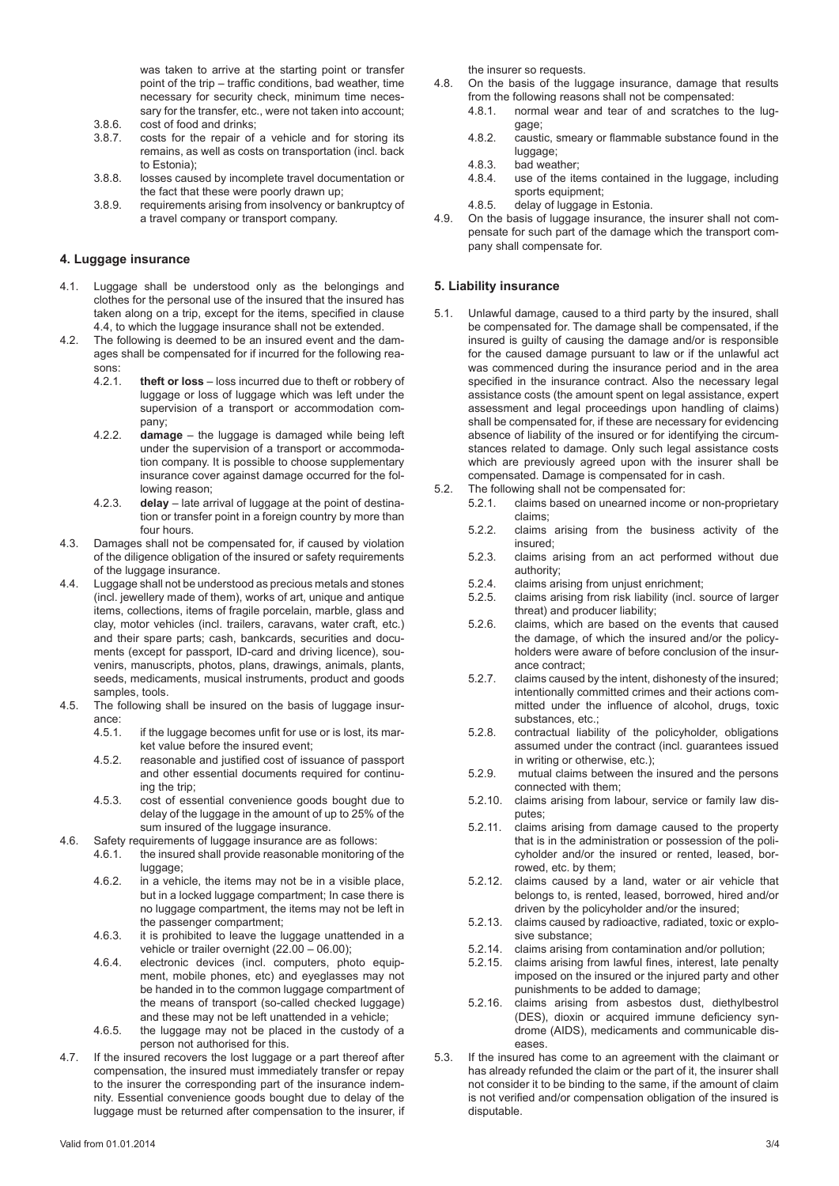was taken to arrive at the starting point or transfer point of the trip – traffic conditions, bad weather, time necessary for security check, minimum time necessary for the transfer, etc., were not taken into account;

- 3.8.6. cost of food and drinks;<br>3.8.7. costs for the repair of costs for the repair of a vehicle and for storing its remains, as well as costs on transportation (incl. back to Estonia);
- 3.8.8. losses caused by incomplete travel documentation or the fact that these were poorly drawn up;
- 3.8.9. requirements arising from insolvency or bankruptcy of a travel company or transport company.

## **4. Luggage insurance**

- 4.1. Luggage shall be understood only as the belongings and clothes for the personal use of the insured that the insured has taken along on a trip, except for the items, specified in clause 4.4, to which the luggage insurance shall not be extended.
- 4.2. The following is deemed to be an insured event and the damages shall be compensated for if incurred for the following reasons:
	- 4.2.1. **theft or loss** loss incurred due to theft or robbery of luggage or loss of luggage which was left under the supervision of a transport or accommodation company;
	- 4.2.2. **damage** the luggage is damaged while being left under the supervision of a transport or accommodation company. It is possible to choose supplementary insurance cover against damage occurred for the following reason;
	- 4.2.3. **delay** late arrival of luggage at the point of destination or transfer point in a foreign country by more than four hours.
- 4.3. Damages shall not be compensated for, if caused by violation of the diligence obligation of the insured or safety requirements of the luggage insurance.
- 4.4. Luggage shall not be understood as precious metals and stones (incl. jewellery made of them), works of art, unique and antique items, collections, items of fragile porcelain, marble, glass and clay, motor vehicles (incl. trailers, caravans, water craft, etc.) and their spare parts; cash, bankcards, securities and documents (except for passport, ID-card and driving licence), souvenirs, manuscripts, photos, plans, drawings, animals, plants, seeds, medicaments, musical instruments, product and goods samples, tools.
- 4.5. The following shall be insured on the basis of luggage insurance:
	- 4.5.1. if the luggage becomes unfit for use or is lost, its market value before the insured event;
	- 4.5.2. reasonable and justified cost of issuance of passport and other essential documents required for continuing the trip;
	- 4.5.3. cost of essential convenience goods bought due to delay of the luggage in the amount of up to 25% of the sum insured of the luggage insurance.
- 
- 4.6. Safety requirements of luggage insurance are as follows:<br>4.6.1. the insured shall provide reasonable monitoring the insured shall provide reasonable monitoring of the luggage;
	- 4.6.2. in a vehicle, the items may not be in a visible place, but in a locked luggage compartment; In case there is no luggage compartment, the items may not be left in the passenger compartment;
	- 4.6.3. it is prohibited to leave the luggage unattended in a vehicle or trailer overnight (22.00 – 06.00);
	- 4.6.4. electronic devices (incl. computers, photo equipment, mobile phones, etc) and eyeglasses may not be handed in to the common luggage compartment of the means of transport (so-called checked luggage) and these may not be left unattended in a vehicle;
	- 4.6.5. the luggage may not be placed in the custody of a person not authorised for this.
- 4.7. If the insured recovers the lost luggage or a part thereof after compensation, the insured must immediately transfer or repay to the insurer the corresponding part of the insurance indemnity. Essential convenience goods bought due to delay of the luggage must be returned after compensation to the insurer, if

the insurer so requests.

- 4.8. On the basis of the luggage insurance, damage that results from the following reasons shall not be compensated:
	- 4.8.1. normal wear and tear of and scratches to the luggage;
	- 4.8.2. caustic, smeary or flammable substance found in the luggage;
	- 4.8.3. bad weather;<br>4.8.4. use of the ite
	- use of the items contained in the luggage, including sports equipment;
	- 4.8.5. delay of luggage in Estonia.
- 4.9. On the basis of luggage insurance, the insurer shall not compensate for such part of the damage which the transport company shall compensate for.

# **5. Liability insurance**

- 5.1. Unlawful damage, caused to a third party by the insured, shall be compensated for. The damage shall be compensated, if the insured is guilty of causing the damage and/or is responsible for the caused damage pursuant to law or if the unlawful act was commenced during the insurance period and in the area specified in the insurance contract. Also the necessary legal assistance costs (the amount spent on legal assistance, expert assessment and legal proceedings upon handling of claims) shall be compensated for, if these are necessary for evidencing absence of liability of the insured or for identifying the circumstances related to damage. Only such legal assistance costs which are previously agreed upon with the insurer shall be compensated. Damage is compensated for in cash.
- 5.2. The following shall not be compensated for:
	- 5.2.1. claims based on unearned income or non-proprietary claims;
	- 5.2.2. claims arising from the business activity of the insured;
	- 5.2.3. claims arising from an act performed without due authority;
	- 5.2.4. claims arising from unjust enrichment;<br>5.2.5. claims arising from risk liability (incl. s
	- claims arising from risk liability (incl. source of larger threat) and producer liability;
	- 5.2.6. claims, which are based on the events that caused the damage, of which the insured and/or the policyholders were aware of before conclusion of the insurance contract;
	- 5.2.7. claims caused by the intent, dishonesty of the insured; intentionally committed crimes and their actions committed under the influence of alcohol, drugs, toxic substances, etc.;
	- 5.2.8. contractual liability of the policyholder, obligations assumed under the contract (incl. guarantees issued in writing or otherwise, etc.);
	- 5.2.9. mutual claims between the insured and the persons connected with them;
	- 5.2.10. claims arising from labour, service or family law disputes;
	- 5.2.11. claims arising from damage caused to the property that is in the administration or possession of the policyholder and/or the insured or rented, leased, borrowed, etc. by them;
	- 5.2.12. claims caused by a land, water or air vehicle that belongs to, is rented, leased, borrowed, hired and/or driven by the policyholder and/or the insured;
	- 5.2.13. claims caused by radioactive, radiated, toxic or explosive substance;
	- 5.2.14. claims arising from contamination and/or pollution;<br>5.2.15 claims arising from lawful fines interest late pena
	- claims arising from lawful fines, interest, late penalty imposed on the insured or the injured party and other punishments to be added to damage;
	- 5.2.16. claims arising from asbestos dust, diethylbestrol (DES), dioxin or acquired immune deficiency syndrome (AIDS), medicaments and communicable diseases.
- 5.3. If the insured has come to an agreement with the claimant or has already refunded the claim or the part of it, the insurer shall not consider it to be binding to the same, if the amount of claim is not verified and/or compensation obligation of the insured is disputable.